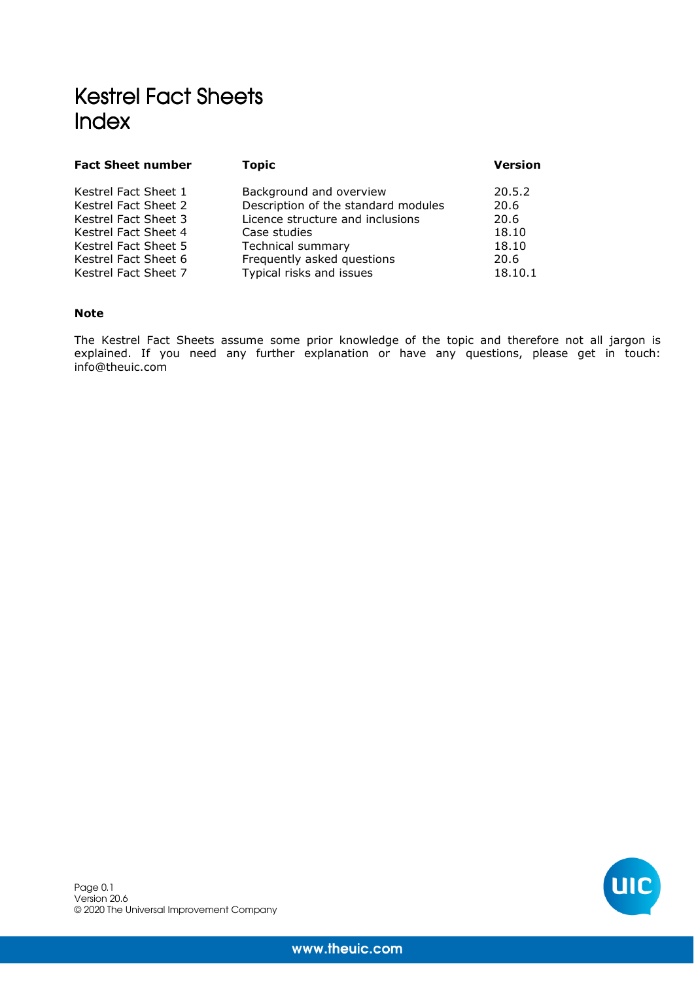# **Kestrel Fact Sheets** Index

| <b>Fact Sheet number</b> | <b>Topic</b>                        | <b>Version</b> |
|--------------------------|-------------------------------------|----------------|
| Kestrel Fact Sheet 1     | Background and overview             | 20.5.2         |
| Kestrel Fact Sheet 2     | Description of the standard modules | 20.6           |
| Kestrel Fact Sheet 3     | Licence structure and inclusions    | 20.6           |
| Kestrel Fact Sheet 4     | Case studies                        | 18.10          |
| Kestrel Fact Sheet 5     | <b>Technical summary</b>            | 18.10          |
| Kestrel Fact Sheet 6     | Frequently asked questions          | 20.6           |
| Kestrel Fact Sheet 7     | Typical risks and issues            | 18.10.1        |

# **Note**

The Kestrel Fact Sheets assume some prior knowledge of the topic and therefore not all jargon is explained. If you need any further explanation or have any questions, please get in touch: info@theuic.com

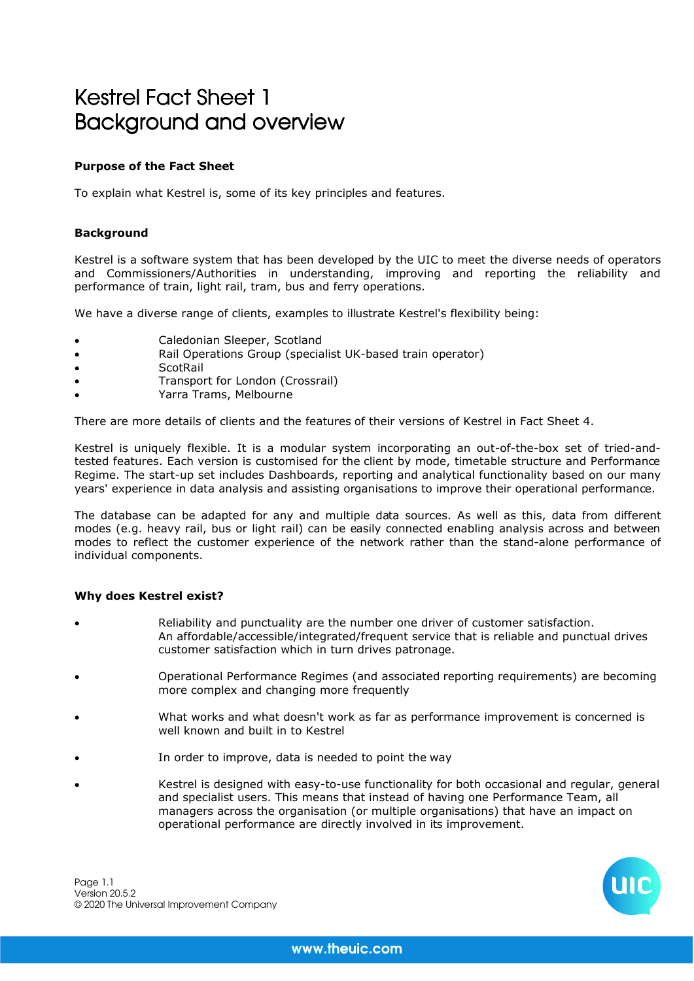# Kestrel Fact Sheet 1 **Backaround and overview**

# **Purpose of the Fact Sheet**

To explain what Kestrel is, some of its key principles and features.

# **Background**

Kestrel is a software system that has been developed by the UIC to meet the diverse needs of operators and Commissioners/Authorities in understanding, improving and reporting the reliability and performance of train, light rail, tram, bus and ferry operations.

We have a diverse range of clients, examples to illustrate Kestrel's flexibility being:

- Caledonian Sleeper, Scotland
- Rail Operations Group (specialist UK-based train operator)  $\bullet$
- ScotRail  $\bullet$
- Transport for London (Crossrail)
- Yarra Trams, Melbourne

There are more details of clients and the features of their versions of Kestrel in Fact Sheet 4.

Kestrel is uniquely flexible. It is a modular system incorporating an out-of-the-box set of tried-andtested features. Each version is customised for the client by mode, timetable structure and Performance Regime. The start-up set includes Dashboards, reporting and analytical functionality based on our many years' experience in data analysis and assisting organisations to improve their operational performance.

The database can be adapted for any and multiple data sources. As well as this, data from different modes (e.g. heavy rail, bus or light rail) can be easily connected enabling analysis across and between modes to reflect the customer experience of the network rather than the stand-alone performance of individual components.

# Why does Kestrel exist?

- Reliability and punctuality are the number one driver of customer satisfaction. An affordable/accessible/integrated/frequent service that is reliable and punctual drives customer satisfaction which in turn drives patronage.
- Operational Performance Regimes (and associated reporting reguirements) are becoming more complex and changing more frequently
- What works and what doesn't work as far as performance improvement is concerned is well known and built in to Kestrel
- In order to improve, data is needed to point the way
- Kestrel is designed with easy-to-use functionality for both occasional and regular, general and specialist users. This means that instead of having one Performance Team, all managers across the organisation (or multiple organisations) that have an impact on operational performance are directly involved in its improvement.

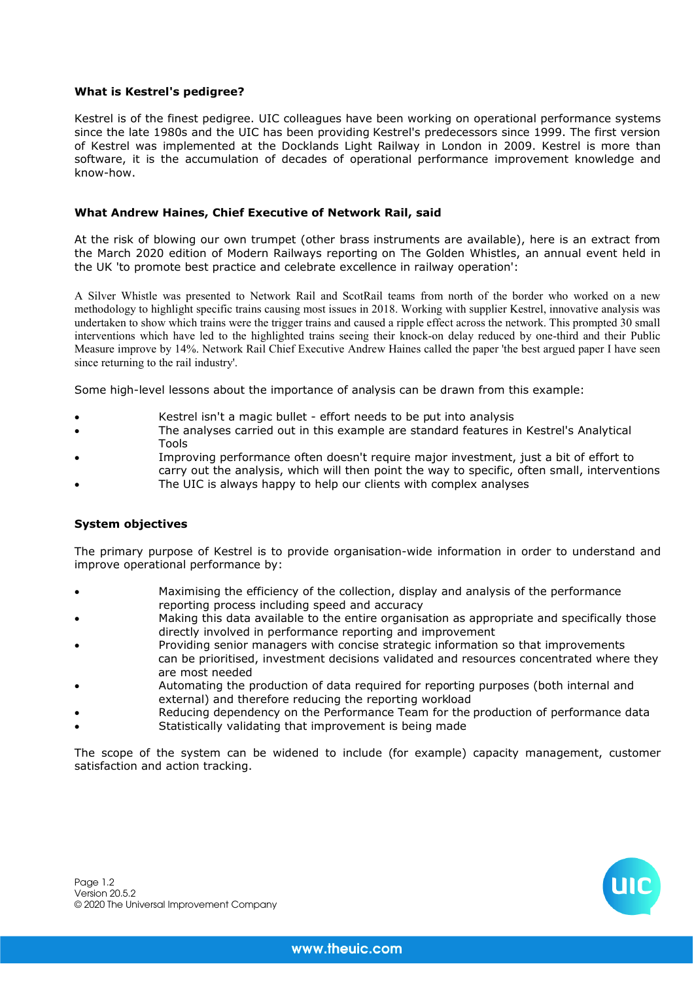## **What is Kestrel's pedigree?**

Kestrel is of the finest pedigree. UIC colleagues have been working on operational performance systems since the late 1980s and the UIC has been providing Kestrel's predecessors since 1999. The first version of Kestrel was implemented at the Docklands Light Railway in London in 2009. Kestrel is more than software, it is the accumulation of decades of operational performance improvement knowledge and know-how.

## What Andrew Haines, Chief Executive of Network Rail, said

At the risk of blowing our own trumpet (other brass instruments are available), here is an extract from the March 2020 edition of Modern Railways reporting on The Golden Whistles, an annual event held in the UK 'to promote best practice and celebrate excellence in railway operation':

A Silver Whistle was presented to Network Rail and ScotRail teams from north of the border who worked on a new methodology to highlight specific trains causing most issues in 2018. Working with supplier Kestrel, innovative analysis was undertaken to show which trains were the trigger trains and caused a ripple effect across the network. This prompted 30 small interventions which have led to the highlighted trains seeing their knock-on delay reduced by one-third and their Public Measure improve by 14%. Network Rail Chief Executive Andrew Haines called the paper 'the best argued paper I have seen since returning to the rail industry'.

Some high-level lessons about the importance of analysis can be drawn from this example:

- Kestrel isn't a magic bullet effort needs to be put into analysis
- The analyses carried out in this example are standard features in Kestrel's Analytical  $\bullet$ Tools
- Improving performance often doesn't require major investment, just a bit of effort to
- carry out the analysis, which will then point the way to specific, often small, interventions The UIC is always happy to help our clients with complex analyses

### **System objectives**

The primary purpose of Kestrel is to provide organisation-wide information in order to understand and improve operational performance by:

- Maximising the efficiency of the collection, display and analysis of the performance reporting process including speed and accuracy
- Making this data available to the entire organisation as appropriate and specifically those directly involved in performance reporting and improvement
- Providing senior managers with concise strategic information so that improvements can be prioritised, investment decisions validated and resources concentrated where they are most needed
- Automating the production of data required for reporting purposes (both internal and external) and therefore reducing the reporting workload
- Reducing dependency on the Performance Team for the production of performance data
- Statistically validating that improvement is being made

The scope of the system can be widened to include (for example) capacity management, customer satisfaction and action tracking.

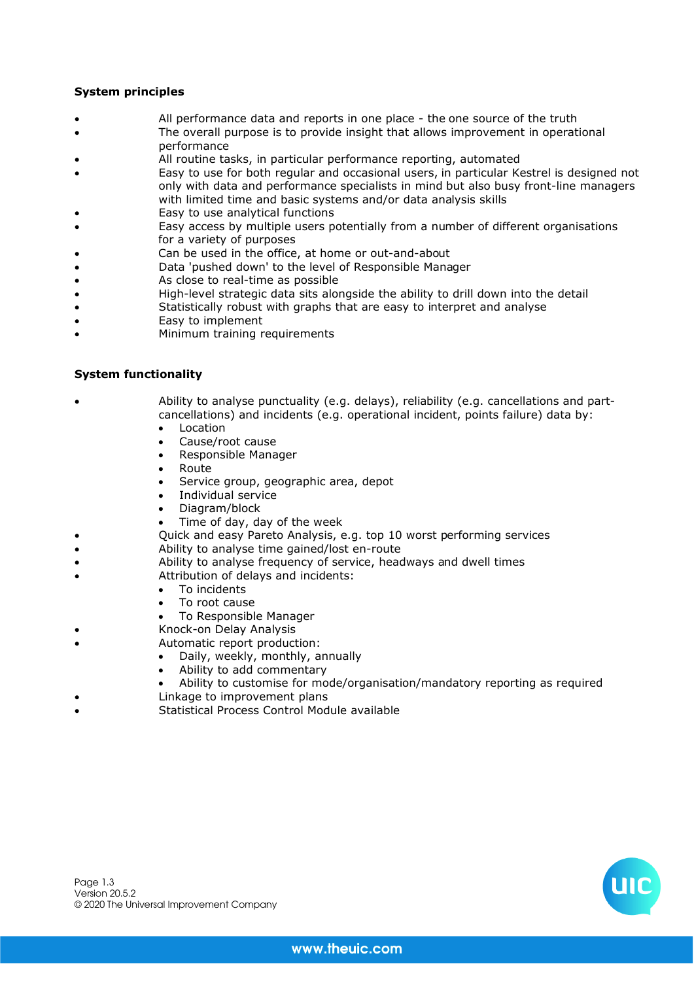# **System principles**

- All performance data and reports in one place the one source of the truth
	- The overall purpose is to provide insight that allows improvement in operational performance
- All routine tasks, in particular performance reporting, automated
- Easy to use for both regular and occasional users, in particular Kestrel is designed not only with data and performance specialists in mind but also busy front-line managers with limited time and basic systems and/or data analysis skills
- Easy to use analytical functions
- Easy access by multiple users potentially from a number of different organisations for a variety of purposes
- Can be used in the office, at home or out-and-about
- Data 'pushed down' to the level of Responsible Manager  $\bullet$
- As close to real-time as possible  $\bullet$
- High-level strategic data sits alongside the ability to drill down into the detail
- Statistically robust with graphs that are easy to interpret and analyse
- Easy to implement
- Minimum training requirements

## **System functionality**

- Ability to analyse punctuality (e.g. delays), reliability (e.g. cancellations and partcancellations) and incidents (e.g. operational incident, points failure) data by:
	- Location  $\bullet$
	- Cause/root cause
	- Responsible Manager
	- Route
	- Service group, geographic area, depot
	- Individual service
	- Diagram/block
	- Time of day, day of the week
- Quick and easy Pareto Analysis, e.g. top 10 worst performing services
	- Ability to analyse time gained/lost en-route
- Ability to analyse frequency of service, headways and dwell times
- Attribution of delays and incidents:
	- To incidents
	- To root cause
	- To Responsible Manager
- Knock-on Delay Analysis
	- Automatic report production:
		- Daily, weekly, monthly, annually
		- Ability to add commentary
		- Ability to customise for mode/organisation/mandatory reporting as required
- Linkage to improvement plans
- Statistical Process Control Module available

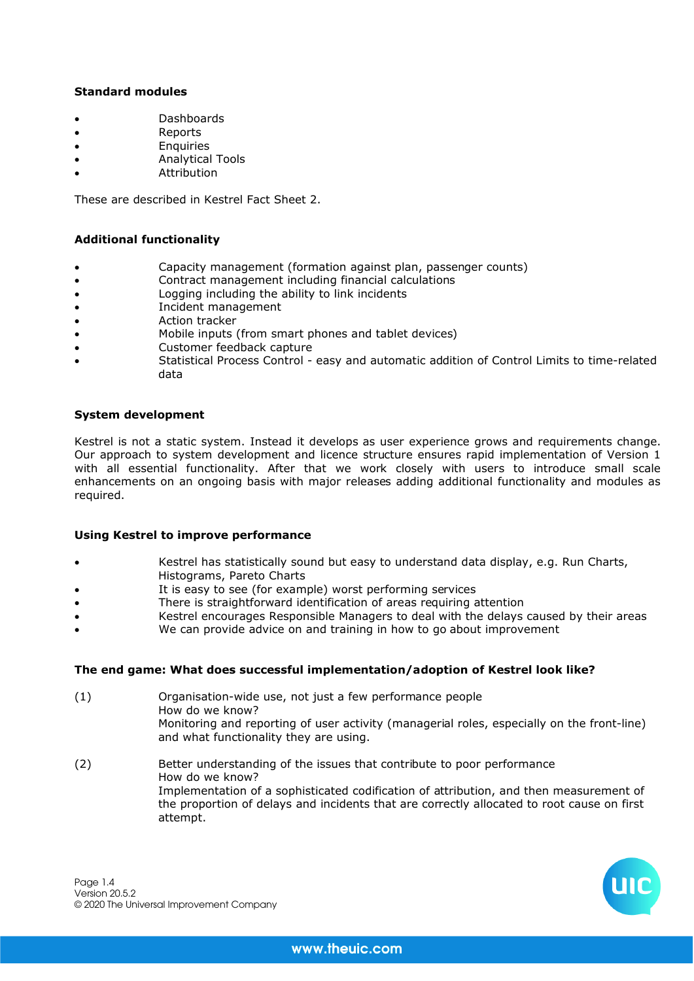## **Standard modules**

- Dashboards
- Reports  $\bullet$
- Enquiries
- **Analytical Tools**
- Attribution

These are described in Kestrel Fact Sheet 2.

# **Additional functionality**

- Capacity management (formation against plan, passenger counts)  $\bullet$
- Contract management including financial calculations  $\bullet$
- Logging including the ability to link incidents  $\bullet$
- Incident management  $\bullet$
- Action tracker  $\bullet$
- Mobile inputs (from smart phones and tablet devices)  $\bullet$
- Customer feedback capture
- Statistical Process Control easy and automatic addition of Control Limits to time-related data

## **System development**

Kestrel is not a static system. Instead it develops as user experience grows and requirements change. Our approach to system development and licence structure ensures rapid implementation of Version 1 with all essential functionality. After that we work closely with users to introduce small scale enhancements on an ongoing basis with major releases adding additional functionality and modules as required.

### **Using Kestrel to improve performance**

- Kestrel has statistically sound but easy to understand data display, e.g. Run Charts, Histograms, Pareto Charts
- It is easy to see (for example) worst performing services
- There is straightforward identification of areas requiring attention
- Kestrel encourages Responsible Managers to deal with the delays caused by their areas
- We can provide advice on and training in how to go about improvement

# The end game: What does successful implementation/adoption of Kestrel look like?

- $(1)$ Organisation-wide use, not just a few performance people How do we know? Monitoring and reporting of user activity (managerial roles, especially on the front-line) and what functionality they are using.
- $(2)$ Better understanding of the issues that contribute to poor performance How do we know? Implementation of a sophisticated codification of attribution, and then measurement of the proportion of delays and incidents that are correctly allocated to root cause on first attempt.

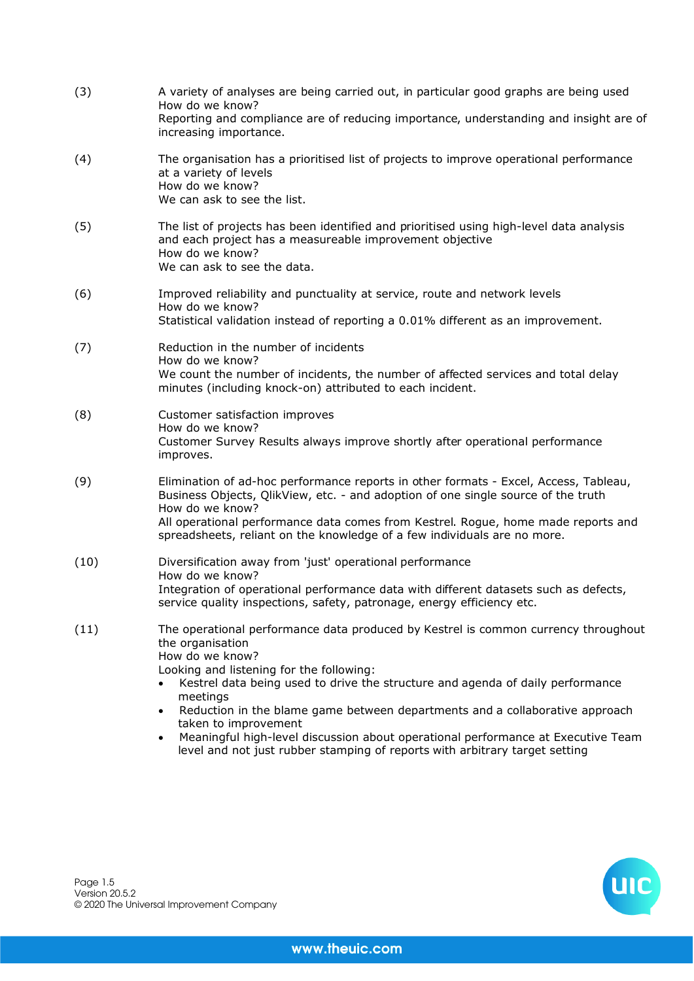| (3)  | A variety of analyses are being carried out, in particular good graphs are being used<br>How do we know?<br>Reporting and compliance are of reducing importance, understanding and insight are of<br>increasing importance.                                                                                                                                                                                                                                                  |
|------|------------------------------------------------------------------------------------------------------------------------------------------------------------------------------------------------------------------------------------------------------------------------------------------------------------------------------------------------------------------------------------------------------------------------------------------------------------------------------|
| (4)  | The organisation has a prioritised list of projects to improve operational performance<br>at a variety of levels<br>How do we know?<br>We can ask to see the list.                                                                                                                                                                                                                                                                                                           |
| (5)  | The list of projects has been identified and prioritised using high-level data analysis<br>and each project has a measureable improvement objective<br>How do we know?<br>We can ask to see the data.                                                                                                                                                                                                                                                                        |
| (6)  | Improved reliability and punctuality at service, route and network levels<br>How do we know?<br>Statistical validation instead of reporting a 0.01% different as an improvement.                                                                                                                                                                                                                                                                                             |
| (7)  | Reduction in the number of incidents<br>How do we know?<br>We count the number of incidents, the number of affected services and total delay<br>minutes (including knock-on) attributed to each incident.                                                                                                                                                                                                                                                                    |
| (8)  | Customer satisfaction improves<br>How do we know?<br>Customer Survey Results always improve shortly after operational performance<br>improves.                                                                                                                                                                                                                                                                                                                               |
| (9)  | Elimination of ad-hoc performance reports in other formats - Excel, Access, Tableau,<br>Business Objects, QlikView, etc. - and adoption of one single source of the truth<br>How do we know?<br>All operational performance data comes from Kestrel. Rogue, home made reports and<br>spreadsheets, reliant on the knowledge of a few individuals are no more.                                                                                                                |
| (10) | Diversification away from 'just' operational performance<br>How do we know?<br>Integration of operational performance data with different datasets such as defects,<br>service quality inspections, safety, patronage, energy efficiency etc.                                                                                                                                                                                                                                |
| (11) | The operational performance data produced by Kestrel is common currency throughout<br>the organisation<br>How do we know?<br>Looking and listening for the following:<br>Kestrel data being used to drive the structure and agenda of daily performance<br>meetings<br>Reduction in the blame game between departments and a collaborative approach<br>$\bullet$<br>taken to improvement<br>Mooningful bigh-loval discussion about enerational performance at Executive Team |

Meaningful high-level discussion about operational performance at Executive Team  $\bullet$ level and not just rubber stamping of reports with arbitrary target setting

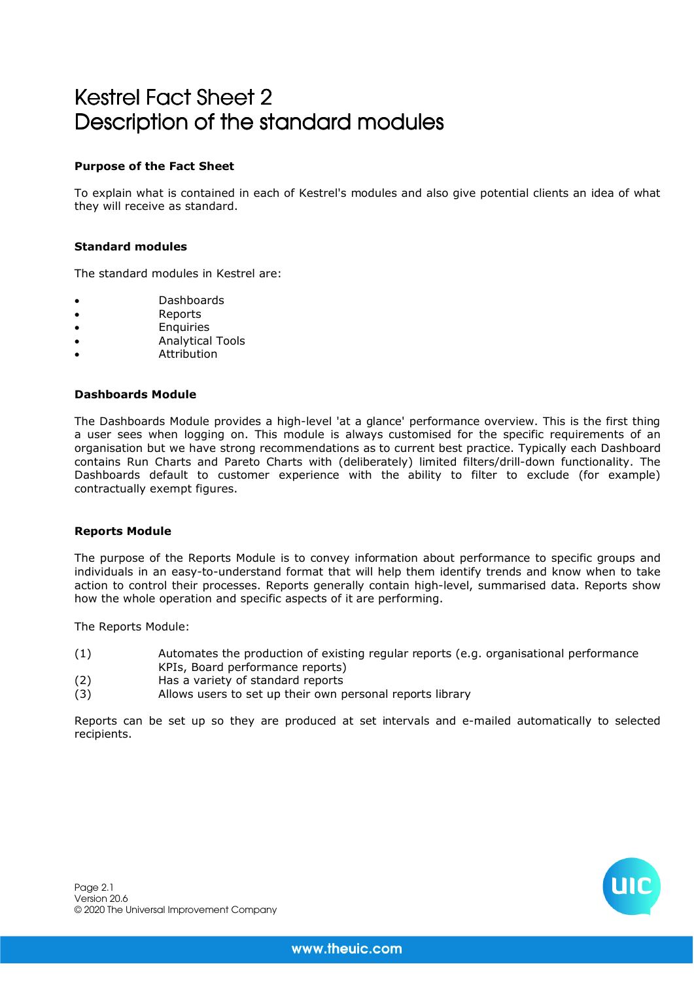# Kestrel Fact Sheet 2 Description of the standard modules

# **Purpose of the Fact Sheet**

To explain what is contained in each of Kestrel's modules and also give potential clients an idea of what they will receive as standard.

# **Standard modules**

The standard modules in Kestrel are:

- Dashboards
- $\bullet$ Reports
- Enguiries  $\bullet$
- **Analytical Tools**  $\bullet$
- Attribution

## **Dashboards Module**

The Dashboards Module provides a high-level 'at a glance' performance overview. This is the first thing a user sees when logging on. This module is always customised for the specific requirements of an organisation but we have strong recommendations as to current best practice. Typically each Dashboard contains Run Charts and Pareto Charts with (deliberately) limited filters/drill-down functionality. The Dashboards default to customer experience with the ability to filter to exclude (for example) contractually exempt figures.

### **Reports Module**

The purpose of the Reports Module is to convey information about performance to specific groups and individuals in an easy-to-understand format that will help them identify trends and know when to take action to control their processes. Reports generally contain high-level, summarised data. Reports show how the whole operation and specific aspects of it are performing.

The Reports Module:

- $(1)$ Automates the production of existing regular reports (e.g. organisational performance KPIs, Board performance reports)
- $(2)$ Has a variety of standard reports
- Allows users to set up their own personal reports library  $(3)$

Reports can be set up so they are produced at set intervals and e-mailed automatically to selected recipients.

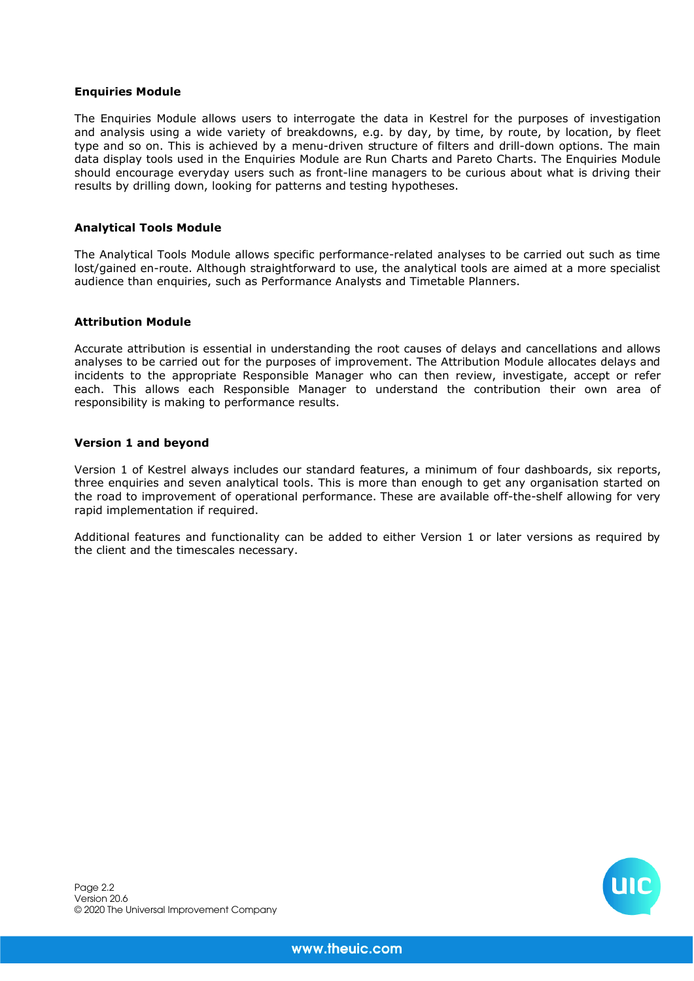## **Enquiries Module**

The Enquiries Module allows users to interrogate the data in Kestrel for the purposes of investigation and analysis using a wide variety of breakdowns, e.g. by day, by time, by route, by location, by fleet type and so on. This is achieved by a menu-driven structure of filters and drill-down options. The main data display tools used in the Enquiries Module are Run Charts and Pareto Charts. The Enquiries Module should encourage everyday users such as front-line managers to be curious about what is driving their results by drilling down, looking for patterns and testing hypotheses.

## **Analytical Tools Module**

The Analytical Tools Module allows specific performance-related analyses to be carried out such as time lost/gained en-route. Although straightforward to use, the analytical tools are aimed at a more specialist audience than enguiries, such as Performance Analysts and Timetable Planners.

## **Attribution Module**

Accurate attribution is essential in understanding the root causes of delays and cancellations and allows analyses to be carried out for the purposes of improvement. The Attribution Module allocates delays and incidents to the appropriate Responsible Manager who can then review, investigate, accept or refer each. This allows each Responsible Manager to understand the contribution their own area of responsibility is making to performance results.

## Version 1 and beyond

Version 1 of Kestrel always includes our standard features, a minimum of four dashboards, six reports, three enguiries and seven analytical tools. This is more than enough to get any organisation started on the road to improvement of operational performance. These are available off-the-shelf allowing for very rapid implementation if required.

Additional features and functionality can be added to either Version 1 or later versions as required by the client and the timescales necessary.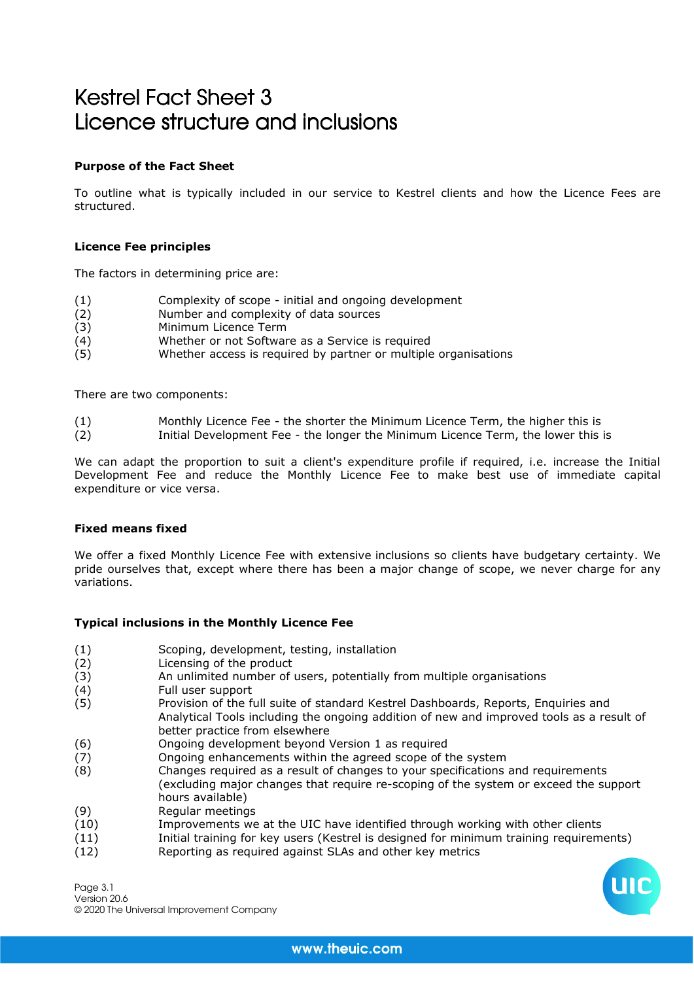# Kestrel Fact Sheet 3 Licence structure and inclusions

# **Purpose of the Fact Sheet**

To outline what is typically included in our service to Kestrel clients and how the Licence Fees are structured.

# **Licence Fee principles**

The factors in determining price are:

- $(1)$ Complexity of scope - initial and ongoing development
- $(2)$ Number and complexity of data sources
- $(3)$ Minimum Licence Term
- $(4)$ Whether or not Software as a Service is required
- $(5)$ Whether access is required by partner or multiple organisations

There are two components:

- $(1)$ Monthly Licence Fee - the shorter the Minimum Licence Term, the higher this is
- $(2)$ Initial Development Fee - the longer the Minimum Licence Term, the lower this is

We can adapt the proportion to suit a client's expenditure profile if required, i.e. increase the Initial Development Fee and reduce the Monthly Licence Fee to make best use of immediate capital expenditure or vice versa.

# **Fixed means fixed**

We offer a fixed Monthly Licence Fee with extensive inclusions so clients have budgetary certainty. We pride ourselves that, except where there has been a major change of scope, we never charge for any variations.

# **Typical inclusions in the Monthly Licence Fee**

- $(1)$ Scoping, development, testing, installation
- $(2)$ Licensing of the product
- $(3)$ An unlimited number of users, potentially from multiple organisations
- $(4)$ Full user support
- $(5)$ Provision of the full suite of standard Kestrel Dashboards, Reports, Enquiries and Analytical Tools including the ongoing addition of new and improved tools as a result of better practice from elsewhere
- $(6)$ Ongoing development beyond Version 1 as required
- Ongoing enhancements within the agreed scope of the system  $(7)$
- $(8)$ Changes required as a result of changes to your specifications and requirements (excluding major changes that require re-scoping of the system or exceed the support hours available)
- $(9)$ Regular meetings
- $(10)$ Improvements we at the UIC have identified through working with other clients
- $(11)$ Initial training for key users (Kestrel is designed for minimum training requirements)
- $(12)$ Reporting as required against SLAs and other key metrics



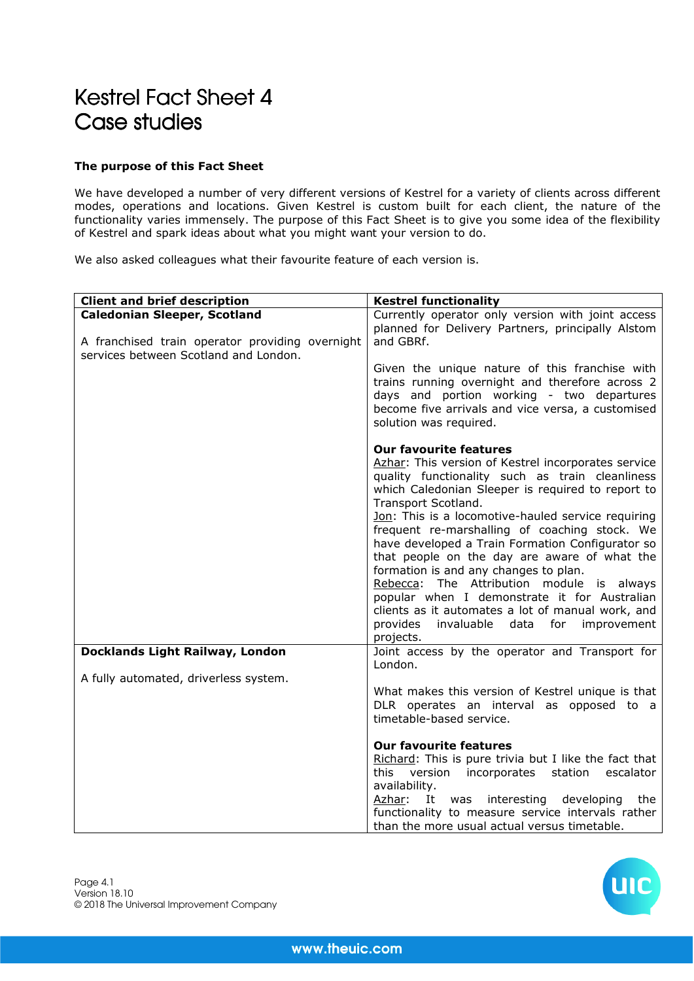# **Kestrel Fact Sheet 4** Case studies

# The purpose of this Fact Sheet

We have developed a number of very different versions of Kestrel for a variety of clients across different modes, operations and locations. Given Kestrel is custom built for each client, the nature of the functionality varies immensely. The purpose of this Fact Sheet is to give you some idea of the flexibility of Kestrel and spark ideas about what you might want your version to do.

We also asked colleagues what their favourite feature of each version is.

| <b>Client and brief description</b>                                                                                             | <b>Kestrel functionality</b>                                                                                                                                                                                                                                                                                                                                                                                                                                                                                                                                                                                                                                                       |
|---------------------------------------------------------------------------------------------------------------------------------|------------------------------------------------------------------------------------------------------------------------------------------------------------------------------------------------------------------------------------------------------------------------------------------------------------------------------------------------------------------------------------------------------------------------------------------------------------------------------------------------------------------------------------------------------------------------------------------------------------------------------------------------------------------------------------|
| <b>Caledonian Sleeper, Scotland</b><br>A franchised train operator providing overnight<br>services between Scotland and London. | Currently operator only version with joint access<br>planned for Delivery Partners, principally Alstom<br>and GBRf.<br>Given the unique nature of this franchise with<br>trains running overnight and therefore across 2<br>days and portion working - two departures<br>become five arrivals and vice versa, a customised<br>solution was required.                                                                                                                                                                                                                                                                                                                               |
|                                                                                                                                 | <b>Our favourite features</b><br>Azhar: This version of Kestrel incorporates service<br>quality functionality such as train cleanliness<br>which Caledonian Sleeper is required to report to<br>Transport Scotland.<br>Jon: This is a locomotive-hauled service requiring<br>frequent re-marshalling of coaching stock. We<br>have developed a Train Formation Configurator so<br>that people on the day are aware of what the<br>formation is and any changes to plan.<br>Rebecca: The Attribution module is always<br>popular when I demonstrate it for Australian<br>clients as it automates a lot of manual work, and<br>provides invaluable data for improvement<br>projects. |
| Docklands Light Railway, London                                                                                                 | Joint access by the operator and Transport for<br>London.                                                                                                                                                                                                                                                                                                                                                                                                                                                                                                                                                                                                                          |
| A fully automated, driverless system.                                                                                           | What makes this version of Kestrel unique is that<br>DLR operates an interval as opposed to a<br>timetable-based service.<br><b>Our favourite features</b><br>Richard: This is pure trivia but I like the fact that<br>this<br>version<br>incorporates<br>station<br>escalator<br>availability.<br>It was interesting<br>developing<br>Azhar:<br>the<br>functionality to measure service intervals rather<br>than the more usual actual versus timetable.                                                                                                                                                                                                                          |

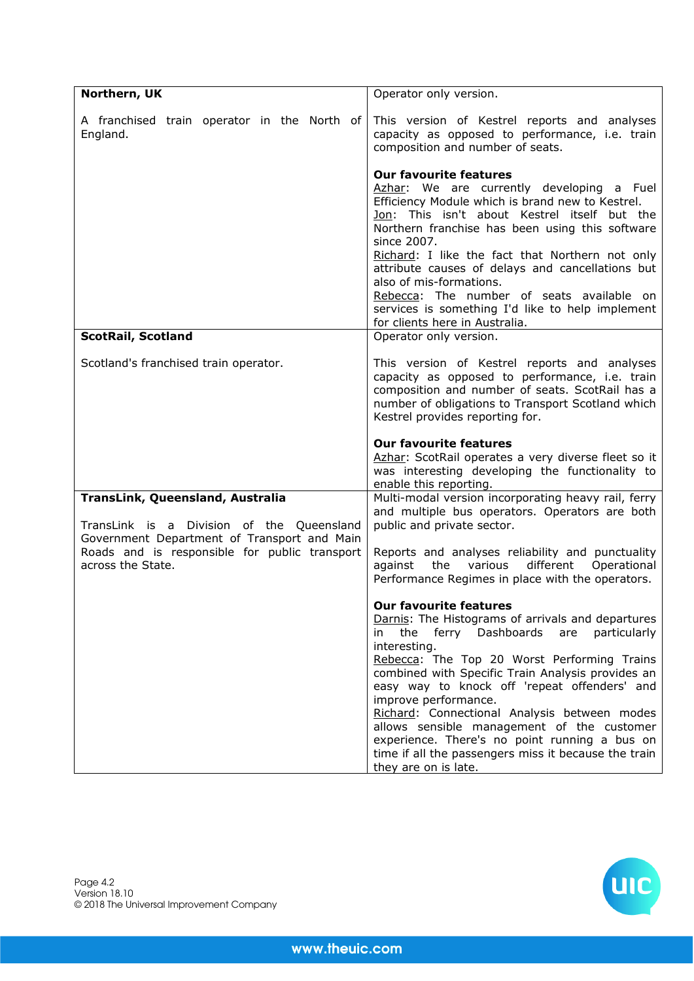| Northern, UK                                                                                                                 | Operator only version.                                                                                                                                                                                                                                                                                                                                                                                                                                                                                                |
|------------------------------------------------------------------------------------------------------------------------------|-----------------------------------------------------------------------------------------------------------------------------------------------------------------------------------------------------------------------------------------------------------------------------------------------------------------------------------------------------------------------------------------------------------------------------------------------------------------------------------------------------------------------|
| A franchised train operator in the North of<br>England.                                                                      | This version of Kestrel reports and analyses<br>capacity as opposed to performance, i.e. train<br>composition and number of seats.                                                                                                                                                                                                                                                                                                                                                                                    |
|                                                                                                                              | <b>Our favourite features</b><br>Azhar: We are currently developing a Fuel<br>Efficiency Module which is brand new to Kestrel.<br>Jon: This isn't about Kestrel itself but the<br>Northern franchise has been using this software<br>since 2007.<br>Richard: I like the fact that Northern not only<br>attribute causes of delays and cancellations but<br>also of mis-formations.<br>Rebecca: The number of seats available on<br>services is something I'd like to help implement<br>for clients here in Australia. |
| <b>ScotRail, Scotland</b>                                                                                                    | Operator only version.                                                                                                                                                                                                                                                                                                                                                                                                                                                                                                |
| Scotland's franchised train operator.                                                                                        | This version of Kestrel reports and analyses<br>capacity as opposed to performance, i.e. train<br>composition and number of seats. ScotRail has a<br>number of obligations to Transport Scotland which<br>Kestrel provides reporting for.                                                                                                                                                                                                                                                                             |
|                                                                                                                              | <b>Our favourite features</b><br>Azhar: ScotRail operates a very diverse fleet so it<br>was interesting developing the functionality to<br>enable this reporting.                                                                                                                                                                                                                                                                                                                                                     |
| TransLink, Queensland, Australia<br>TransLink is a Division of the Queensland<br>Government Department of Transport and Main | Multi-modal version incorporating heavy rail, ferry<br>and multiple bus operators. Operators are both<br>public and private sector.                                                                                                                                                                                                                                                                                                                                                                                   |
| Roads and is responsible for public transport<br>across the State.                                                           | Reports and analyses reliability and punctuality<br>the<br>different Operational<br>against<br>various<br>Performance Regimes in place with the operators.                                                                                                                                                                                                                                                                                                                                                            |
|                                                                                                                              | <b>Our favourite features</b><br>Darnis: The Histograms of arrivals and departures<br>the ferry Dashboards<br>are<br>particularly<br>in.<br>interesting.<br>Rebecca: The Top 20 Worst Performing Trains<br>combined with Specific Train Analysis provides an<br>easy way to knock off 'repeat offenders' and<br>improve performance.<br>Richard: Connectional Analysis between modes<br>allows sensible management of the customer<br>experience. There's no point running a bus on                                   |

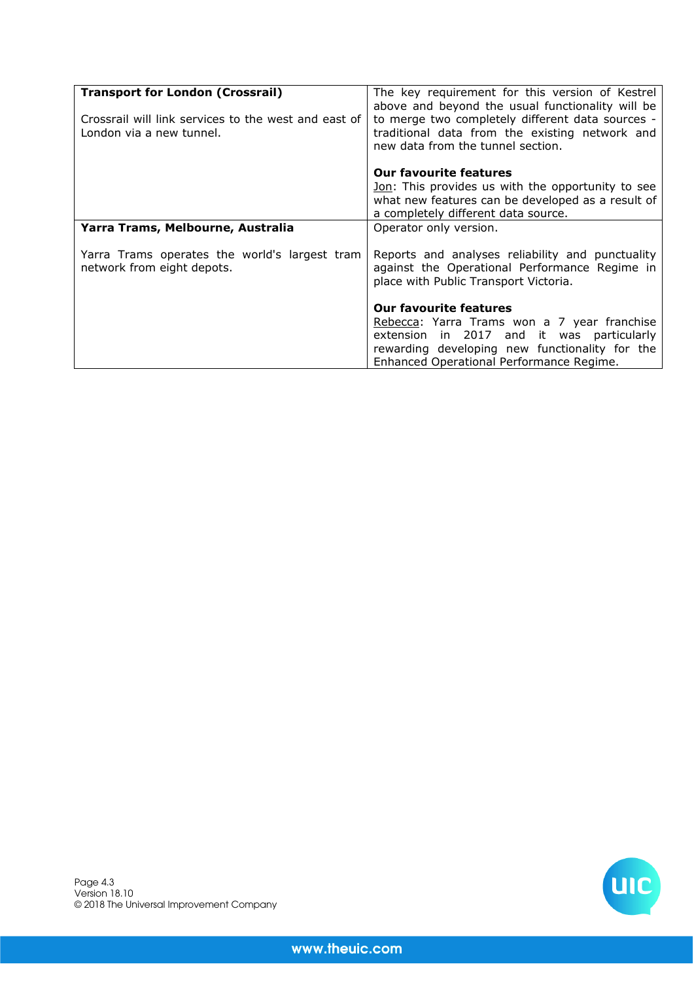| <b>Transport for London (Crossrail)</b>                                          | The key requirement for this version of Kestrel<br>above and beyond the usual functionality will be                                        |
|----------------------------------------------------------------------------------|--------------------------------------------------------------------------------------------------------------------------------------------|
| Crossrail will link services to the west and east of<br>London via a new tunnel. | to merge two completely different data sources -<br>traditional data from the existing network and<br>new data from the tunnel section.    |
|                                                                                  | <b>Our favourite features</b>                                                                                                              |
|                                                                                  | <u>Jon</u> : This provides us with the opportunity to see                                                                                  |
|                                                                                  | what new features can be developed as a result of                                                                                          |
|                                                                                  | a completely different data source.                                                                                                        |
| Yarra Trams, Melbourne, Australia                                                | Operator only version.                                                                                                                     |
| Yarra Trams operates the world's largest tram<br>network from eight depots.      | Reports and analyses reliability and punctuality<br>against the Operational Performance Regime in<br>place with Public Transport Victoria. |
|                                                                                  | <b>Our favourite features</b>                                                                                                              |
|                                                                                  | Rebecca: Yarra Trams won a 7 year franchise                                                                                                |
|                                                                                  | in 2017 and it was particularly<br>extension                                                                                               |
|                                                                                  | rewarding developing new functionality for the<br>Enhanced Operational Performance Regime.                                                 |
|                                                                                  |                                                                                                                                            |

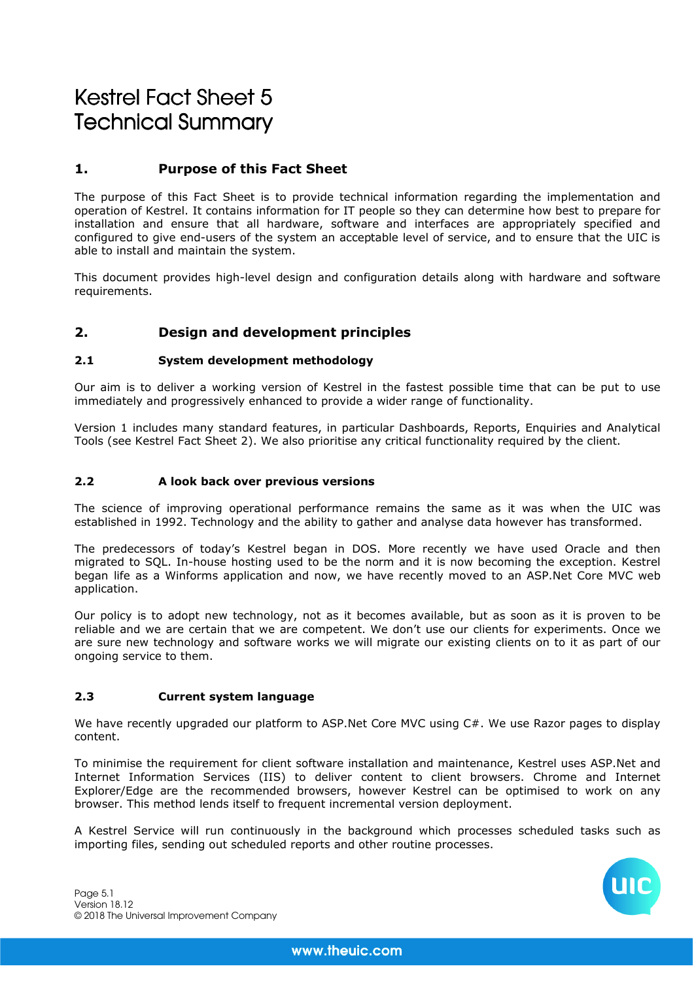# **Kestrel Fact Sheet 5 Technical Summary**

#### $\mathbf{1}$ . **Purpose of this Fact Sheet**

The purpose of this Fact Sheet is to provide technical information regarding the implementation and operation of Kestrel. It contains information for IT people so they can determine how best to prepare for installation and ensure that all hardware, software and interfaces are appropriately specified and configured to give end-users of the system an acceptable level of service, and to ensure that the UIC is able to install and maintain the system.

This document provides high-level design and configuration details along with hardware and software requirements.

#### $2.$ **Design and development principles**

#### $2.1$ System development methodology

Our aim is to deliver a working version of Kestrel in the fastest possible time that can be put to use immediately and progressively enhanced to provide a wider range of functionality.

Version 1 includes many standard features, in particular Dashboards, Reports, Enguiries and Analytical Tools (see Kestrel Fact Sheet 2). We also prioritise any critical functionality required by the client.

#### $2.2$ A look back over previous versions

The science of improving operational performance remains the same as it was when the UIC was established in 1992. Technology and the ability to gather and analyse data however has transformed.

The predecessors of today's Kestrel began in DOS. More recently we have used Oracle and then migrated to SQL. In-house hosting used to be the norm and it is now becoming the exception. Kestrel began life as a Winforms application and now, we have recently moved to an ASP.Net Core MVC web application.

Our policy is to adopt new technology, not as it becomes available, but as soon as it is proven to be reliable and we are certain that we are competent. We don't use our clients for experiments. Once we are sure new technology and software works we will migrate our existing clients on to it as part of our ongoing service to them.

#### $2.3$ **Current system language**

We have recently upgraded our platform to ASP.Net Core MVC using C#. We use Razor pages to display content.

To minimise the requirement for client software installation and maintenance, Kestrel uses ASP.Net and Internet Information Services (IIS) to deliver content to client browsers. Chrome and Internet Explorer/Edge are the recommended browsers, however Kestrel can be optimised to work on any browser. This method lends itself to frequent incremental version deployment.

A Kestrel Service will run continuously in the background which processes scheduled tasks such as importing files, sending out scheduled reports and other routine processes.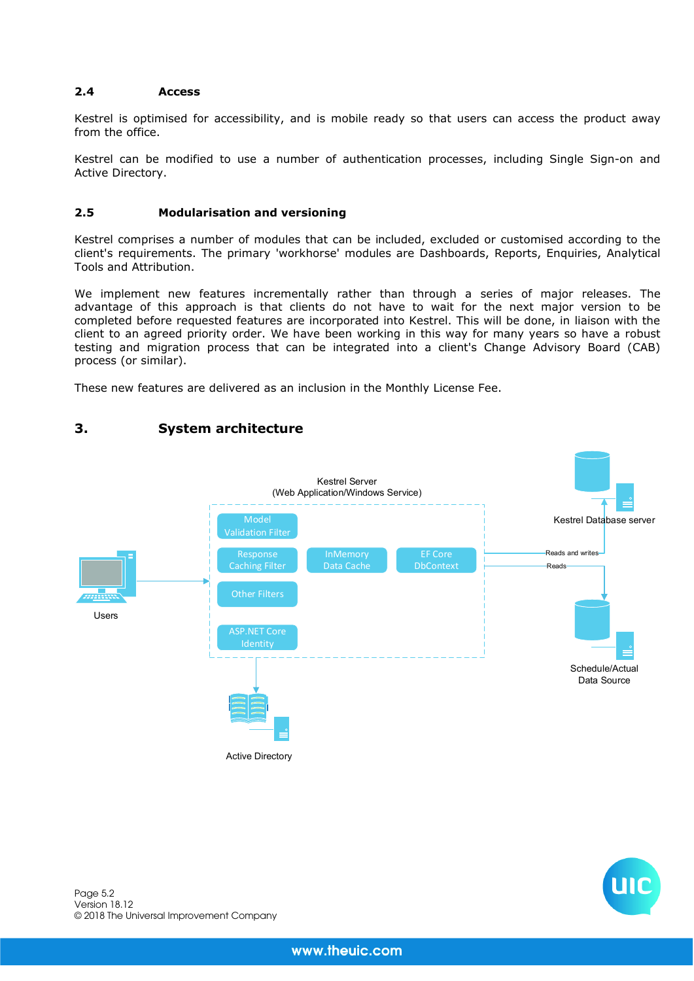#### $2.4$ **Access**

Kestrel is optimised for accessibility, and is mobile ready so that users can access the product away from the office.

Kestrel can be modified to use a number of authentication processes, including Single Sign-on and Active Directory.

#### $2.5$ **Modularisation and versioning**

Kestrel comprises a number of modules that can be included, excluded or customised according to the client's requirements. The primary 'workhorse' modules are Dashboards, Reports, Enquiries, Analytical Tools and Attribution.

We implement new features incrementally rather than through a series of major releases. The advantage of this approach is that clients do not have to wait for the next major version to be completed before requested features are incorporated into Kestrel. This will be done, in liaison with the client to an agreed priority order. We have been working in this way for many years so have a robust testing and migration process that can be integrated into a client's Change Advisory Board (CAB) process (or similar).

These new features are delivered as an inclusion in the Monthly License Fee.

#### $\overline{\mathbf{3}}$ . **System architecture**



**Active Directory** 

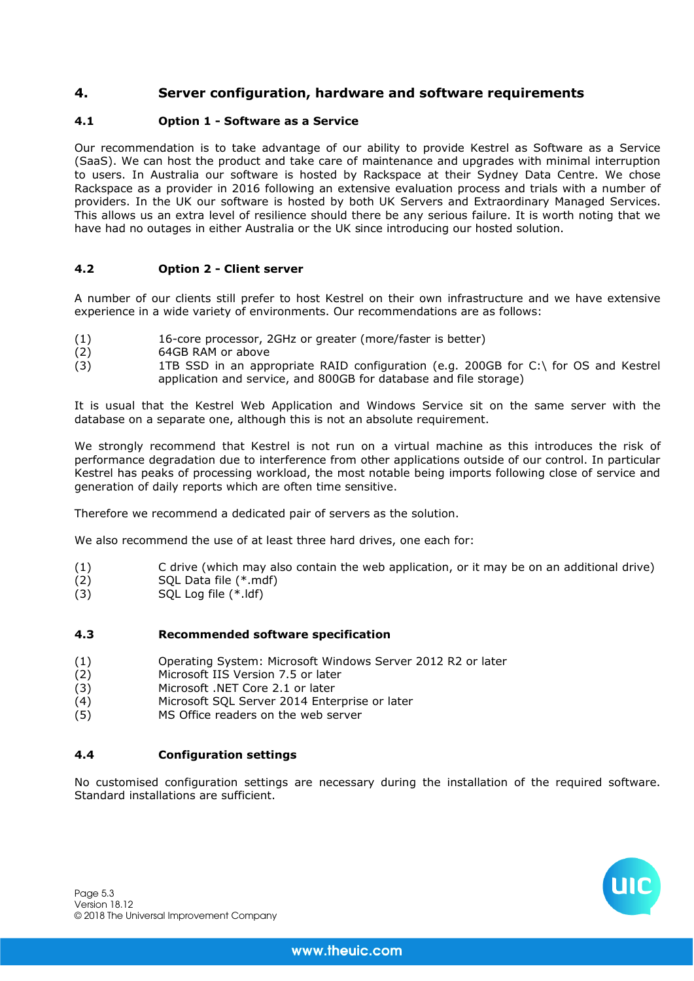#### 4. Server configuration, hardware and software requirements

#### $4.1$ **Option 1 - Software as a Service**

Our recommendation is to take advantage of our ability to provide Kestrel as Software as a Service (SaaS). We can host the product and take care of maintenance and upgrades with minimal interruption to users. In Australia our software is hosted by Rackspace at their Sydney Data Centre. We chose Rackspace as a provider in 2016 following an extensive evaluation process and trials with a number of providers. In the UK our software is hosted by both UK Servers and Extraordinary Managed Services. This allows us an extra level of resilience should there be any serious failure. It is worth noting that we have had no outages in either Australia or the UK since introducing our hosted solution.

#### $4.2$ **Option 2 - Client server**

A number of our clients still prefer to host Kestrel on their own infrastructure and we have extensive experience in a wide variety of environments. Our recommendations are as follows:

- 16-core processor, 2GHz or greater (more/faster is better)  $(1)$
- $(2)$ 64GB RAM or above
- $(3)$ 1TB SSD in an appropriate RAID configuration (e.g. 200GB for C:\ for OS and Kestrel application and service, and 800GB for database and file storage)

It is usual that the Kestrel Web Application and Windows Service sit on the same server with the database on a separate one, although this is not an absolute requirement.

We strongly recommend that Kestrel is not run on a virtual machine as this introduces the risk of performance degradation due to interference from other applications outside of our control. In particular Kestrel has peaks of processing workload, the most notable being imports following close of service and generation of daily reports which are often time sensitive.

Therefore we recommend a dedicated pair of servers as the solution.

We also recommend the use of at least three hard drives, one each for:

- $(1)$ C drive (which may also contain the web application, or it may be on an additional drive)
- $(2)$ SOL Data file (\*.mdf)
- $(3)$ SQL Log file (\*.ldf)
- $4.3$ **Recommended software specification**
- Operating System: Microsoft Windows Server 2012 R2 or later  $(1)$
- Microsoft IIS Version 7.5 or later  $(2)$
- $(3)$ Microsoft .NET Core 2.1 or later
- Microsoft SQL Server 2014 Enterprise or later  $(4)$
- $(5)$ MS Office readers on the web server

#### $4.4$ **Configuration settings**

No customised configuration settings are necessary during the installation of the required software. Standard installations are sufficient.

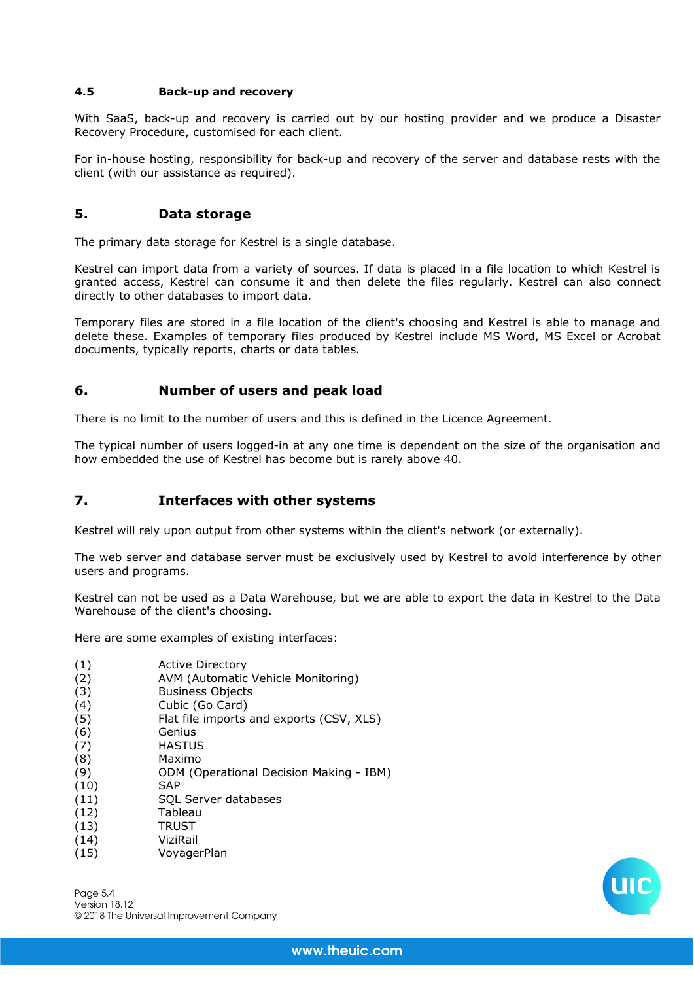#### $4.5$ **Back-up and recovery**

With SaaS, back-up and recovery is carried out by our hosting provider and we produce a Disaster Recovery Procedure, customised for each client.

For in-house hosting, responsibility for back-up and recovery of the server and database rests with the client (with our assistance as required).

#### $5<sub>1</sub>$ Data storage

The primary data storage for Kestrel is a single database.

Kestrel can import data from a variety of sources. If data is placed in a file location to which Kestrel is granted access, Kestrel can consume it and then delete the files regularly. Kestrel can also connect directly to other databases to import data.

Temporary files are stored in a file location of the client's choosing and Kestrel is able to manage and delete these. Examples of temporary files produced by Kestrel include MS Word, MS Excel or Acrobat documents, typically reports, charts or data tables.

#### 6. Number of users and peak load

There is no limit to the number of users and this is defined in the Licence Agreement.

The typical number of users logged-in at any one time is dependent on the size of the organisation and how embedded the use of Kestrel has become but is rarely above 40.

#### $\overline{7}$ . **Interfaces with other systems**

Kestrel will rely upon output from other systems within the client's network (or externally).

The web server and database server must be exclusively used by Kestrel to avoid interference by other users and programs.

Kestrel can not be used as a Data Warehouse, but we are able to export the data in Kestrel to the Data Warehouse of the client's choosing.

Here are some examples of existing interfaces:

- **Active Directory**  $(1)$
- $(2)$ AVM (Automatic Vehicle Monitoring)
- $(3)$ **Business Objects**
- $(4)$ Cubic (Go Card)
- $(5)$ Flat file imports and exports (CSV, XLS)
- $(6)$ Genius
- $(7)$ **HASTUS**
- $(8)$ Maximo
- $(9)$ ODM (Operational Decision Making - IBM)
- $(10)$ **SAP**
- **SOL Server databases**  $(11)$
- Tableau  $(12)$
- **TRUST**  $(13)$
- $(14)$ ViziRail  $(15)$ VoyagerPlan
- Page 5.4 Version 18.12 © 2018 The Universal Improvement Company

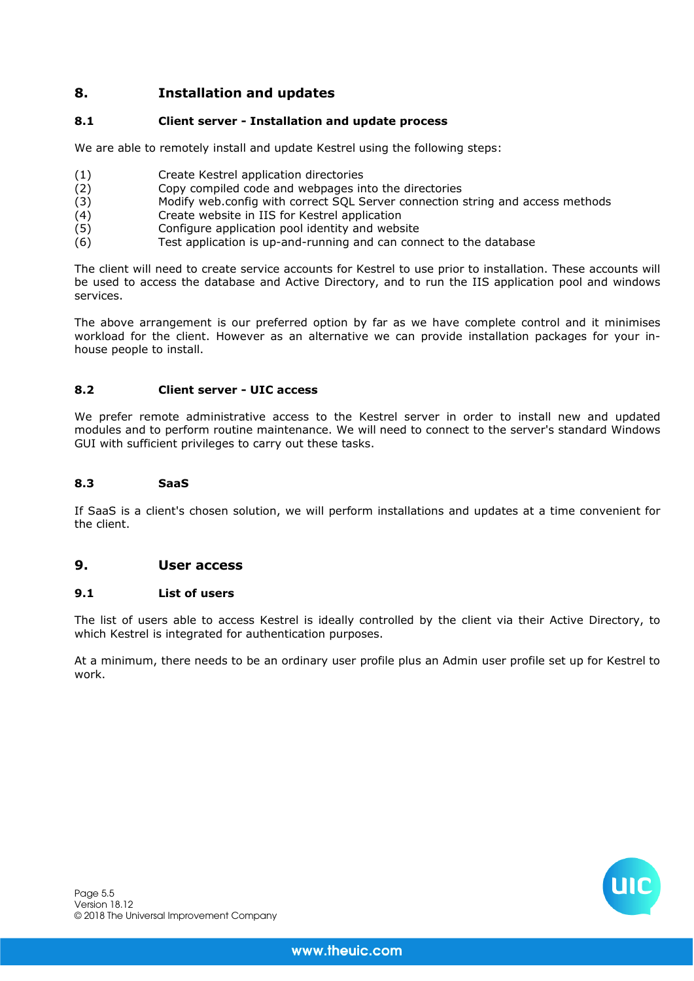#### 8. **Installation and updates**

#### $8.1$ **Client server - Installation and update process**

We are able to remotely install and update Kestrel using the following steps:

- Create Kestrel application directories  $(1)$
- $(2)$ Copy compiled code and webpages into the directories
- Modify web config with correct SQL Server connection string and access methods  $(3)$
- Create website in IIS for Kestrel application  $(4)$
- $(5)$ Configure application pool identity and website
- Test application is up-and-running and can connect to the database  $(6)$

The client will need to create service accounts for Kestrel to use prior to installation. These accounts will be used to access the database and Active Directory, and to run the IIS application pool and windows services.

The above arrangement is our preferred option by far as we have complete control and it minimises workload for the client. However as an alternative we can provide installation packages for your inhouse people to install.

#### $8.2$ **Client server - UIC access**

We prefer remote administrative access to the Kestrel server in order to install new and updated modules and to perform routine maintenance. We will need to connect to the server's standard Windows GUI with sufficient privileges to carry out these tasks.

#### $8.3$ **SaaS**

If SaaS is a client's chosen solution, we will perform installations and updates at a time convenient for the client.

#### 9. **User access**

#### **List of users**  $9.1$

The list of users able to access Kestrel is ideally controlled by the client via their Active Directory, to which Kestrel is integrated for authentication purposes.

At a minimum, there needs to be an ordinary user profile plus an Admin user profile set up for Kestrel to work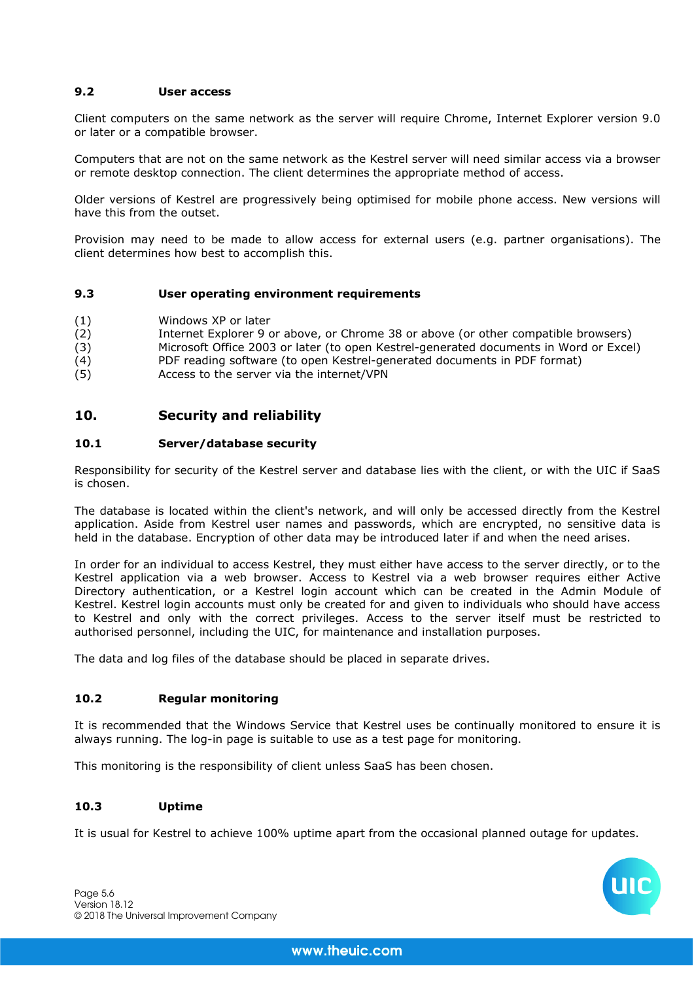#### $9.2$ **User access**

Client computers on the same network as the server will require Chrome, Internet Explorer version 9.0 or later or a compatible browser.

Computers that are not on the same network as the Kestrel server will need similar access via a browser or remote desktop connection. The client determines the appropriate method of access.

Older versions of Kestrel are progressively being optimised for mobile phone access. New versions will have this from the outset.

Provision may need to be made to allow access for external users (e.g. partner organisations). The client determines how best to accomplish this.

#### $9.3$ User operating environment requirements

- Windows XP or later  $(1)$
- Internet Explorer 9 or above, or Chrome 38 or above (or other compatible browsers)  $(2)$
- $(3)$ Microsoft Office 2003 or later (to open Kestrel-generated documents in Word or Excel)
- $(4)$ PDF reading software (to open Kestrel-generated documents in PDF format)
- $(5)$ Access to the server via the internet/VPN

#### 10. **Security and reliability**

#### $10.1$ Server/database security

Responsibility for security of the Kestrel server and database lies with the client, or with the UIC if SaaS is chosen.

The database is located within the client's network, and will only be accessed directly from the Kestrel application. Aside from Kestrel user names and passwords, which are encrypted, no sensitive data is held in the database. Encryption of other data may be introduced later if and when the need arises.

In order for an individual to access Kestrel, they must either have access to the server directly, or to the Kestrel application via a web browser. Access to Kestrel via a web browser requires either Active Directory authentication, or a Kestrel login account which can be created in the Admin Module of Kestrel. Kestrel login accounts must only be created for and given to individuals who should have access to Kestrel and only with the correct privileges. Access to the server itself must be restricted to authorised personnel, including the UIC, for maintenance and installation purposes.

The data and log files of the database should be placed in separate drives.

#### 10.2 **Regular monitoring**

It is recommended that the Windows Service that Kestrel uses be continually monitored to ensure it is always running. The log-in page is suitable to use as a test page for monitoring.

This monitoring is the responsibility of client unless SaaS has been chosen.

#### $10.3$ **Uptime**

It is usual for Kestrel to achieve 100% uptime apart from the occasional planned outage for updates.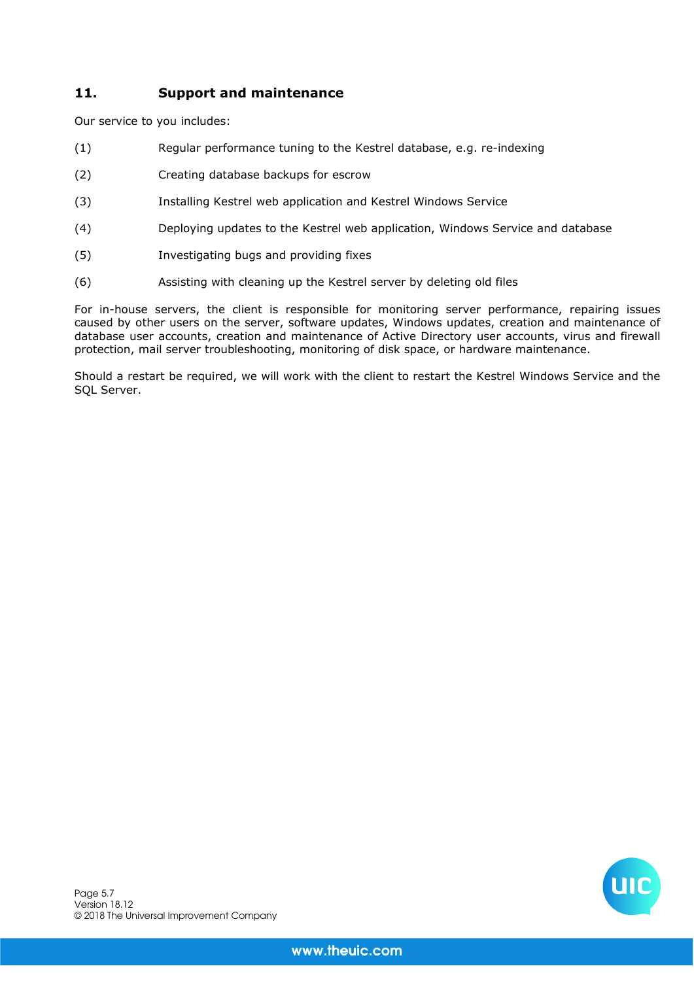#### $11.$ **Support and maintenance**

Our service to you includes:

- Regular performance tuning to the Kestrel database, e.g. re-indexing  $(1)$
- $(2)$ Creating database backups for escrow
- $(3)$ Installing Kestrel web application and Kestrel Windows Service
- $(4)$ Deploying updates to the Kestrel web application, Windows Service and database
- $(5)$ Investigating bugs and providing fixes
- $(6)$ Assisting with cleaning up the Kestrel server by deleting old files

For in-house servers, the client is responsible for monitoring server performance, repairing issues caused by other users on the server, software updates, Windows updates, creation and maintenance of database user accounts, creation and maintenance of Active Directory user accounts, virus and firewall protection, mail server troubleshooting, monitoring of disk space, or hardware maintenance.

Should a restart be required, we will work with the client to restart the Kestrel Windows Service and the SOL Server.

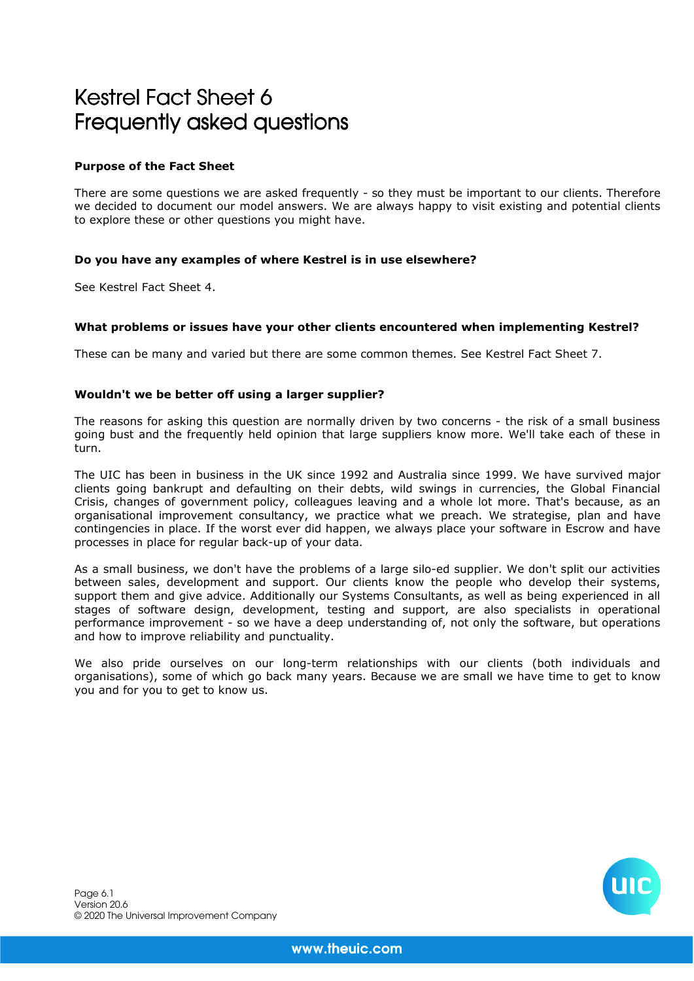# Kestrel Fact Sheet 6 Frequently asked questions

# **Purpose of the Fact Sheet**

There are some questions we are asked frequently - so they must be important to our clients. Therefore we decided to document our model answers. We are always happy to visit existing and potential clients to explore these or other questions you might have.

# Do you have any examples of where Kestrel is in use elsewhere?

See Kestrel Fact Sheet 4.

# What problems or issues have your other clients encountered when implementing Kestrel?

These can be many and varied but there are some common themes. See Kestrel Fact Sheet 7.

# Wouldn't we be better off using a larger supplier?

The reasons for asking this question are normally driven by two concerns - the risk of a small business going bust and the frequently held opinion that large suppliers know more. We'll take each of these in turn.

The UIC has been in business in the UK since 1992 and Australia since 1999. We have survived major clients going bankrupt and defaulting on their debts, wild swings in currencies, the Global Financial Crisis, changes of government policy, colleagues leaving and a whole lot more. That's because, as an organisational improvement consultancy, we practice what we preach. We strategise, plan and have contingencies in place. If the worst ever did happen, we always place your software in Escrow and have processes in place for regular back-up of your data.

As a small business, we don't have the problems of a large silo-ed supplier. We don't split our activities between sales, development and support. Our clients know the people who develop their systems, support them and give advice. Additionally our Systems Consultants, as well as being experienced in all stages of software design, development, testing and support, are also specialists in operational performance improvement - so we have a deep understanding of, not only the software, but operations and how to improve reliability and punctuality.

We also pride ourselves on our long-term relationships with our clients (both individuals and organisations), some of which go back many years. Because we are small we have time to get to know you and for you to get to know us.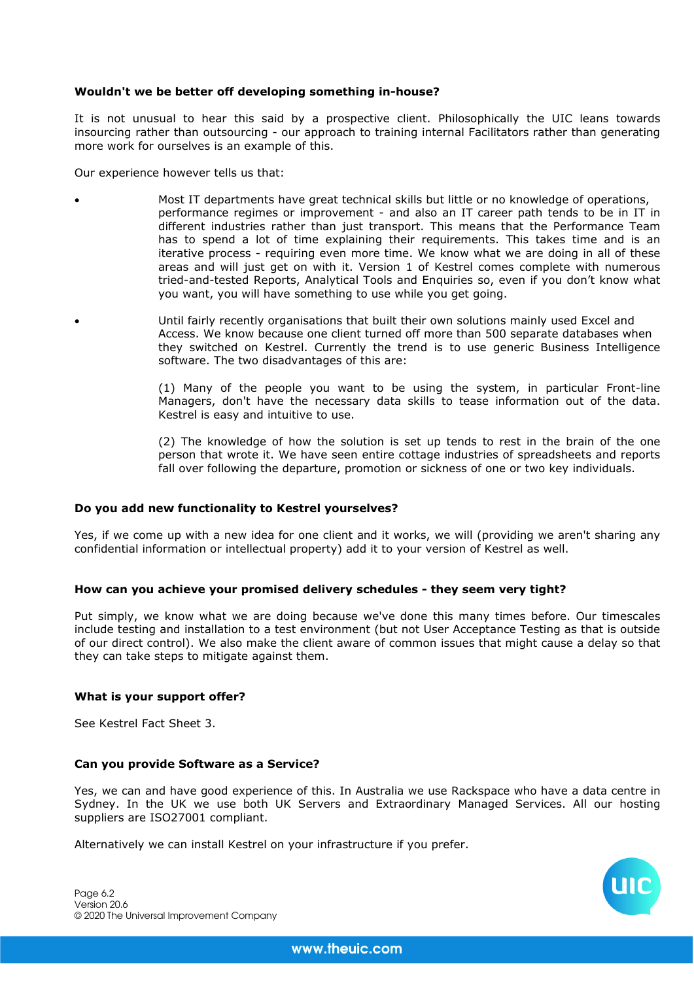# Wouldn't we be better off developing something in-house?

It is not unusual to hear this said by a prospective client. Philosophically the UIC leans towards insourcing rather than outsourcing - our approach to training internal Facilitators rather than generating more work for ourselves is an example of this.

Our experience however tells us that:

- Most IT departments have great technical skills but little or no knowledge of operations. performance regimes or improvement - and also an IT career path tends to be in IT in different industries rather than just transport. This means that the Performance Team has to spend a lot of time explaining their requirements. This takes time and is an iterative process - requiring even more time. We know what we are doing in all of these areas and will just get on with it. Version 1 of Kestrel comes complete with numerous tried-and-tested Reports, Analytical Tools and Enquiries so, even if you don't know what you want, you will have something to use while you get going.
	- Until fairly recently organisations that built their own solutions mainly used Excel and Access. We know because one client turned off more than 500 separate databases when they switched on Kestrel. Currently the trend is to use generic Business Intelligence software. The two disadvantages of this are:

(1) Many of the people you want to be using the system, in particular Front-line Managers, don't have the necessary data skills to tease information out of the data. Kestrel is easy and intuitive to use.

(2) The knowledge of how the solution is set up tends to rest in the brain of the one person that wrote it. We have seen entire cottage industries of spreadsheets and reports fall over following the departure, promotion or sickness of one or two key individuals.

### Do you add new functionality to Kestrel yourselves?

Yes, if we come up with a new idea for one client and it works, we will (providing we aren't sharing any confidential information or intellectual property) add it to your version of Kestrel as well.

### How can you achieve your promised delivery schedules - they seem very tight?

Put simply, we know what we are doing because we've done this many times before. Our timescales include testing and installation to a test environment (but not User Acceptance Testing as that is outside of our direct control). We also make the client aware of common issues that might cause a delay so that they can take steps to mitigate against them.

### What is your support offer?

See Kestrel Fact Sheet 3.

### Can you provide Software as a Service?

Yes, we can and have good experience of this. In Australia we use Rackspace who have a data centre in Sydney. In the UK we use both UK Servers and Extraordinary Managed Services. All our hosting suppliers are ISO27001 compliant.

Alternatively we can install Kestrel on your infrastructure if you prefer.

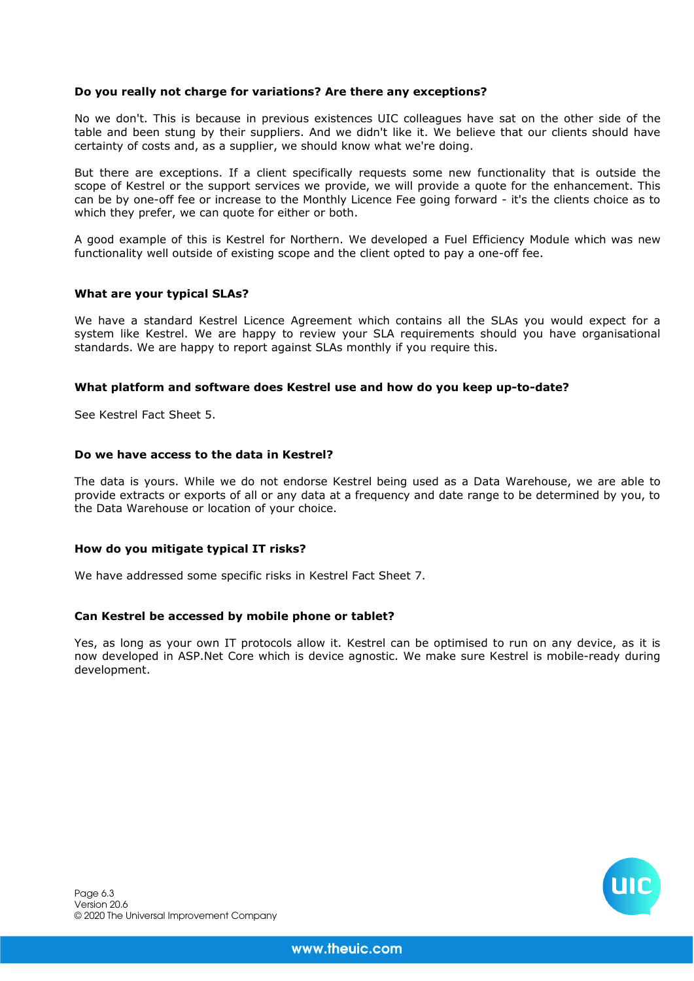## Do you really not charge for variations? Are there any exceptions?

No we don't. This is because in previous existences UIC colleagues have sat on the other side of the table and been stung by their suppliers. And we didn't like it. We believe that our clients should have certainty of costs and, as a supplier, we should know what we're doing.

But there are exceptions. If a client specifically requests some new functionality that is outside the scope of Kestrel or the support services we provide, we will provide a quote for the enhancement. This can be by one-off fee or increase to the Monthly Licence Fee going forward - it's the clients choice as to which they prefer, we can quote for either or both.

A good example of this is Kestrel for Northern. We developed a Fuel Efficiency Module which was new functionality well outside of existing scope and the client opted to pay a one-off fee.

## What are your typical SLAs?

We have a standard Kestrel Licence Agreement which contains all the SLAs you would expect for a system like Kestrel. We are happy to review your SLA requirements should you have organisational standards. We are happy to report against SLAs monthly if you require this.

## What platform and software does Kestrel use and how do you keep up-to-date?

See Kestrel Fact Sheet 5.

## Do we have access to the data in Kestrel?

The data is yours. While we do not endorse Kestrel being used as a Data Warehouse, we are able to provide extracts or exports of all or any data at a frequency and date range to be determined by you, to the Data Warehouse or location of your choice.

# How do you mitigate typical IT risks?

We have addressed some specific risks in Kestrel Fact Sheet 7.

# Can Kestrel be accessed by mobile phone or tablet?

Yes, as long as your own IT protocols allow it. Kestrel can be optimised to run on any device, as it is now developed in ASP.Net Core which is device agnostic. We make sure Kestrel is mobile-ready during development.

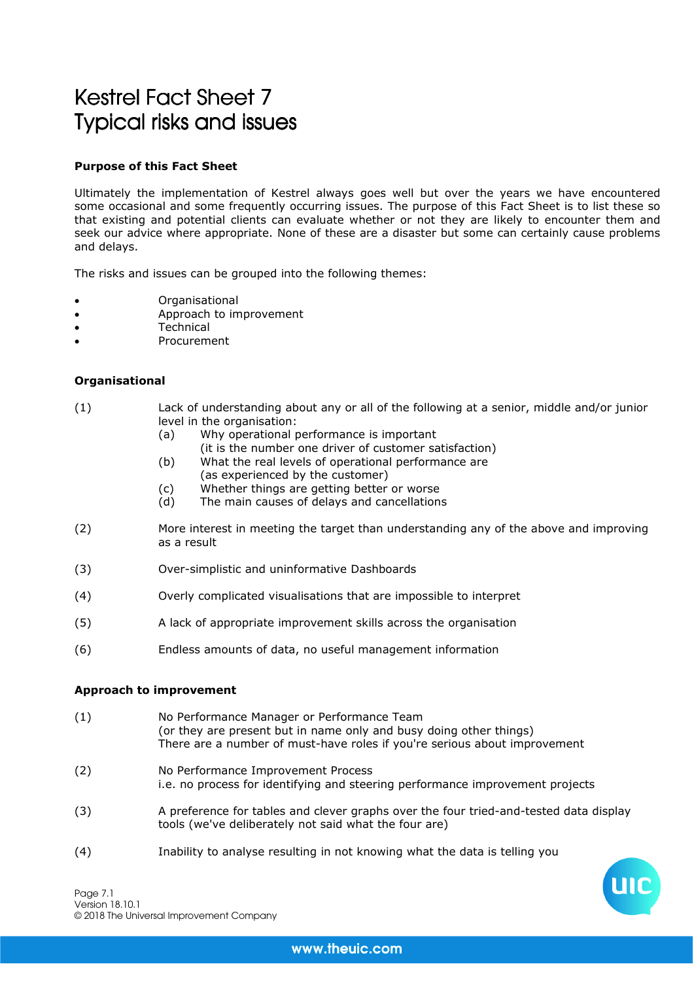# Kestrel Fact Sheet 7 **Typical risks and issues**

# **Purpose of this Fact Sheet**

Ultimately the implementation of Kestrel always goes well but over the years we have encountered some occasional and some frequently occurring issues. The purpose of this Fact Sheet is to list these so that existing and potential clients can evaluate whether or not they are likely to encounter them and seek our advice where appropriate. None of these are a disaster but some can certainly cause problems and delays.

The risks and issues can be grouped into the following themes:

- Organisational
- Approach to improvement
- Technical  $\bullet$
- Procurement

# **Organisational**

- $(1)$ Lack of understanding about any or all of the following at a senior, middle and/or junior level in the organisation:
	- Why operational performance is important  $(a)$
	- (it is the number one driver of customer satisfaction)
	- What the real levels of operational performance are  $(b)$ 
		- (as experienced by the customer)
	- $(c)$ Whether things are getting better or worse
	- $(d)$ The main causes of delays and cancellations
- $(2)$ More interest in meeting the target than understanding any of the above and improving as a result
- $(3)$ Over-simplistic and uninformative Dashboards
- $(4)$ Overly complicated visualisations that are impossible to interpret
- $(5)$ A lack of appropriate improvement skills across the organisation
- $(6)$ Endless amounts of data, no useful management information

# **Approach to improvement**

- No Performance Manager or Performance Team  $(1)$ (or they are present but in name only and busy doing other things) There are a number of must-have roles if you're serious about improvement
- $(2)$ No Performance Improvement Process i.e. no process for identifying and steering performance improvement projects
- $(3)$ A preference for tables and clever graphs over the four tried-and-tested data display tools (we've deliberately not said what the four are)
- $(4)$ Inability to analyse resulting in not knowing what the data is telling you

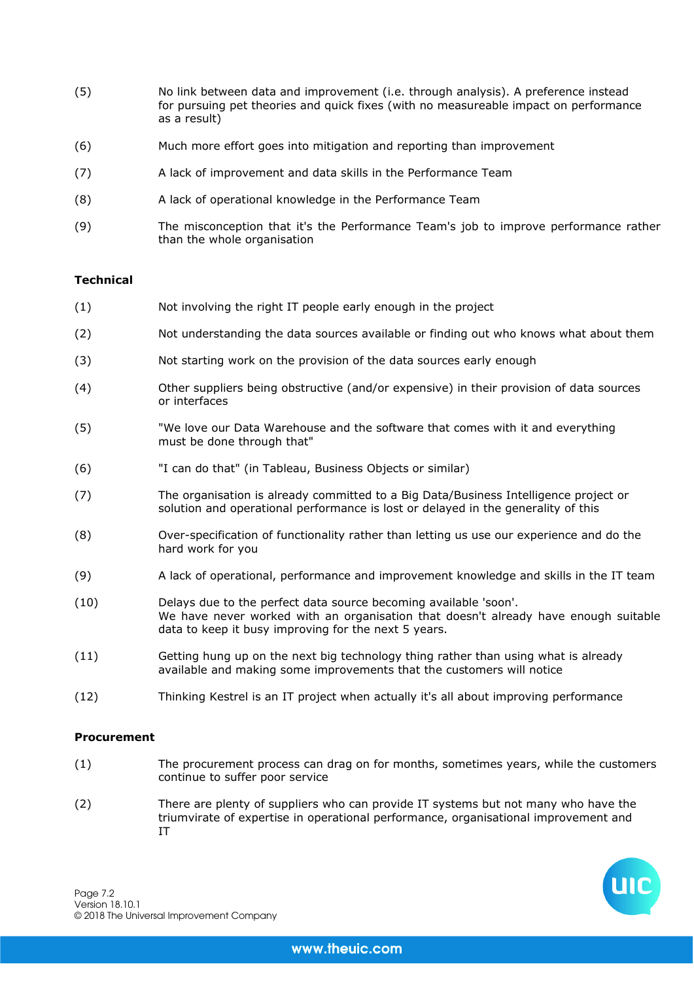- No link between data and improvement (i.e. through analysis). A preference instead  $(5)$ for pursuing pet theories and quick fixes (with no measureable impact on performance as a result)
- Much more effort goes into mitigation and reporting than improvement  $(6)$
- A lack of improvement and data skills in the Performance Team  $(7)$
- $(8)$ A lack of operational knowledge in the Performance Team
- $(9)$ The misconception that it's the Performance Team's job to improve performance rather than the whole organisation

# **Technical**

- $(1)$ Not involving the right IT people early enough in the project
- Not understanding the data sources available or finding out who knows what about them  $(2)$
- Not starting work on the provision of the data sources early enough  $(3)$
- $(4)$ Other suppliers being obstructive (and/or expensive) in their provision of data sources or interfaces
- $(5)$ "We love our Data Warehouse and the software that comes with it and everything must be done through that"
- "I can do that" (in Tableau, Business Objects or similar)  $(6)$
- The organisation is already committed to a Big Data/Business Intelligence project or  $(7)$ solution and operational performance is lost or delayed in the generality of this
- Over-specification of functionality rather than letting us use our experience and do the  $(8)$ hard work for you
- $(9)$ A lack of operational, performance and improvement knowledge and skills in the IT team
- $(10)$ Delays due to the perfect data source becoming available 'soon'. We have never worked with an organisation that doesn't already have enough suitable data to keep it busy improving for the next 5 years.
- Getting hung up on the next big technology thing rather than using what is already  $(11)$ available and making some improvements that the customers will notice
- $(12)$ Thinking Kestrel is an IT project when actually it's all about improving performance

# **Procurement**

- $(1)$ The procurement process can drag on for months, sometimes years, while the customers continue to suffer poor service
- $(2)$ There are plenty of suppliers who can provide IT systems but not many who have the triumvirate of expertise in operational performance, organisational improvement and **IT**